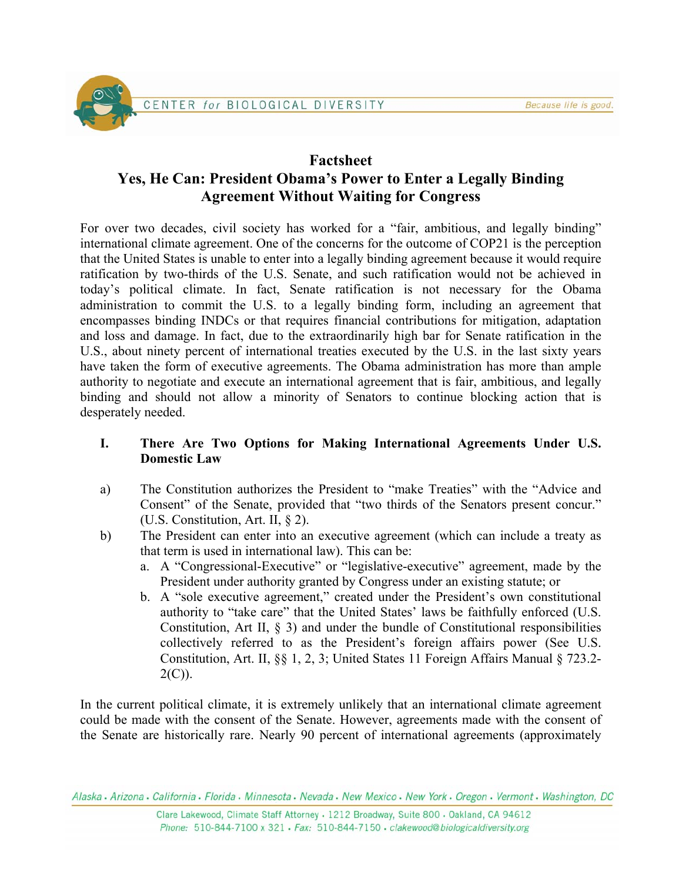

# **Factsheet Yes, He Can: President Obama's Power to Enter a Legally Binding Agreement Without Waiting for Congress**

For over two decades, civil society has worked for a "fair, ambitious, and legally binding" international climate agreement. One of the concerns for the outcome of COP21 is the perception that the United States is unable to enter into a legally binding agreement because it would require ratification by two-thirds of the U.S. Senate, and such ratification would not be achieved in today's political climate. In fact, Senate ratification is not necessary for the Obama administration to commit the U.S. to a legally binding form, including an agreement that encompasses binding INDCs or that requires financial contributions for mitigation, adaptation and loss and damage. In fact, due to the extraordinarily high bar for Senate ratification in the U.S., about ninety percent of international treaties executed by the U.S. in the last sixty years have taken the form of executive agreements. The Obama administration has more than ample authority to negotiate and execute an international agreement that is fair, ambitious, and legally binding and should not allow a minority of Senators to continue blocking action that is desperately needed.

### **I. There Are Two Options for Making International Agreements Under U.S. Domestic Law**

- a) The Constitution authorizes the President to "make Treaties" with the "Advice and Consent" of the Senate, provided that "two thirds of the Senators present concur." (U.S. Constitution, Art. II, § 2).
- b) The President can enter into an executive agreement (which can include a treaty as that term is used in international law). This can be:
	- a. A "Congressional-Executive" or "legislative-executive" agreement, made by the President under authority granted by Congress under an existing statute; or
	- b. A "sole executive agreement," created under the President's own constitutional authority to "take care" that the United States' laws be faithfully enforced (U.S. Constitution, Art II, § 3) and under the bundle of Constitutional responsibilities collectively referred to as the President's foreign affairs power (See U.S. Constitution, Art. II, §§ 1, 2, 3; United States 11 Foreign Affairs Manual § 723.2-  $2(C)$ ).

In the current political climate, it is extremely unlikely that an international climate agreement could be made with the consent of the Senate. However, agreements made with the consent of the Senate are historically rare. Nearly 90 percent of international agreements (approximately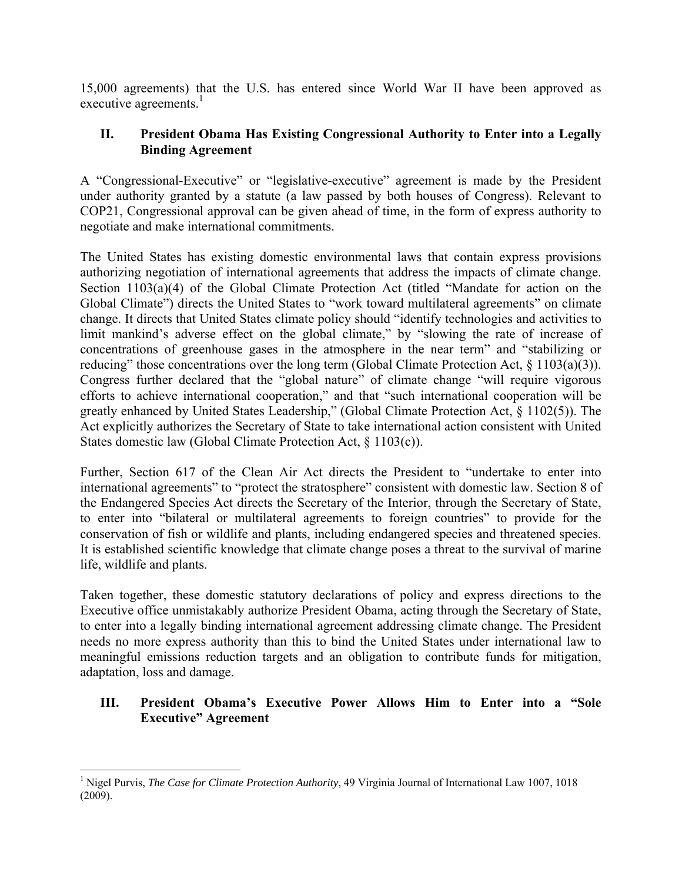15,000 agreements) that the U.S. has entered since World War II have been approved as executive agreements. $<sup>1</sup>$ </sup>

#### **II. President Obama Has Existing Congressional Authority to Enter into a Legally Binding Agreement**

A "Congressional-Executive" or "legislative-executive" agreement is made by the President under authority granted by a statute (a law passed by both houses of Congress). Relevant to COP21, Congressional approval can be given ahead of time, in the form of express authority to negotiate and make international commitments.

The United States has existing domestic environmental laws that contain express provisions authorizing negotiation of international agreements that address the impacts of climate change. Section 1103(a)(4) of the Global Climate Protection Act (titled "Mandate for action on the Global Climate") directs the United States to "work toward multilateral agreements" on climate change. It directs that United States climate policy should "identify technologies and activities to limit mankind's adverse effect on the global climate," by "slowing the rate of increase of concentrations of greenhouse gases in the atmosphere in the near term" and "stabilizing or reducing" those concentrations over the long term (Global Climate Protection Act, § 1103(a)(3)). Congress further declared that the "global nature" of climate change "will require vigorous efforts to achieve international cooperation," and that "such international cooperation will be greatly enhanced by United States Leadership," (Global Climate Protection Act, § 1102(5)). The Act explicitly authorizes the Secretary of State to take international action consistent with United States domestic law (Global Climate Protection Act, § 1103(c)).

Further, Section 617 of the Clean Air Act directs the President to "undertake to enter into international agreements" to "protect the stratosphere" consistent with domestic law. Section 8 of the Endangered Species Act directs the Secretary of the Interior, through the Secretary of State, to enter into "bilateral or multilateral agreements to foreign countries" to provide for the conservation of fish or wildlife and plants, including endangered species and threatened species. It is established scientific knowledge that climate change poses a threat to the survival of marine life, wildlife and plants.

Taken together, these domestic statutory declarations of policy and express directions to the Executive office unmistakably authorize President Obama, acting through the Secretary of State, to enter into a legally binding international agreement addressing climate change. The President needs no more express authority than this to bind the United States under international law to meaningful emissions reduction targets and an obligation to contribute funds for mitigation, adaptation, loss and damage.

### **III. President Obama's Executive Power Allows Him to Enter into a "Sole Executive" Agreement**

 $\overline{a}$ 

<sup>&</sup>lt;sup>1</sup> Nigel Purvis, *The Case for Climate Protection Authority*, 49 Virginia Journal of International Law 1007, 1018 (2009).